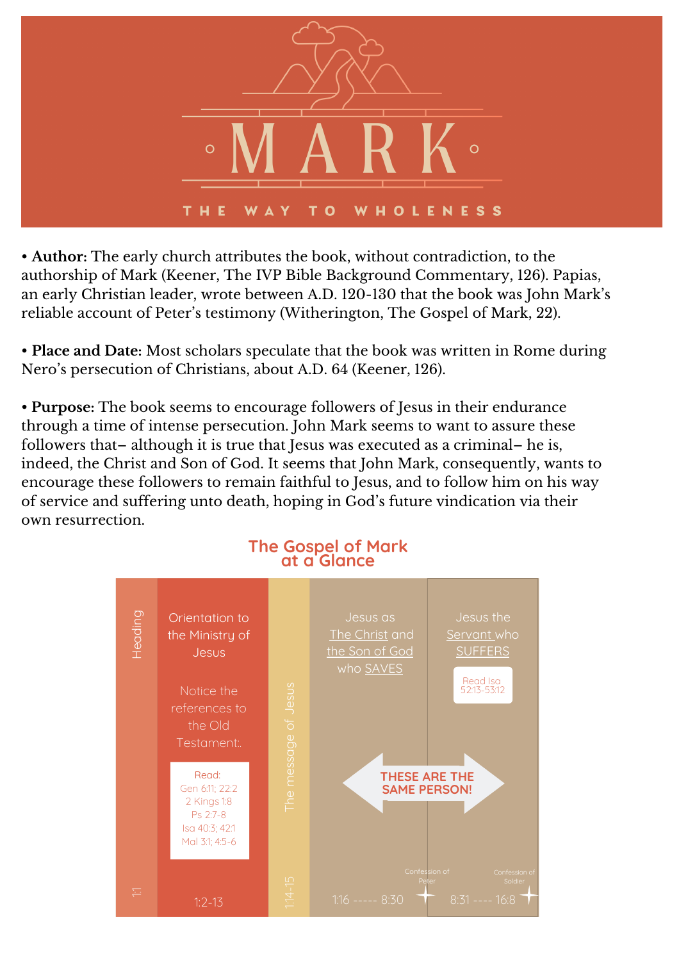

• **Author:** The early church attributes the book, without contradiction, to the authorship of Mark (Keener, The IVP Bible Background Commentary, 126). Papias, an early Christian leader, wrote between A.D. 120-130 that the book was John Mark's reliable account of Peter's testimony (Witherington, The Gospel of Mark, 22).

• **Place and Date:** Most scholars speculate that the book was written in Rome during Nero's persecution of Christians, about A.D. 64 (Keener, 126).

• **Purpose:** The book seems to encourage followers of Jesus in their endurance through a time of intense persecution. John Mark seems to want to assure these followers that– although it is true that Jesus was executed as a criminal– he is, indeed, the Christ and Son of God. It seems that John Mark, consequently, wants to encourage these followers to remain faithful to Jesus, and to follow him on his way of service and suffering unto death, hoping in God's future vindication via their own resurrection.



## **The Gospel of Mark at a Glance**